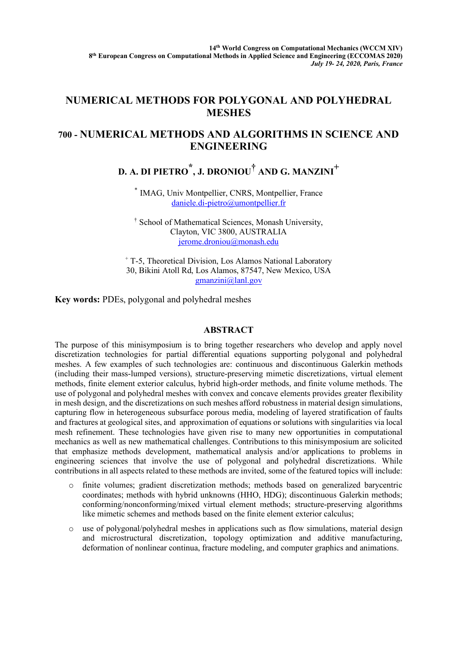## **NUMERICAL METHODS FOR POLYGONAL AND POLYHEDRAL MESHES**

## **700 - NUMERICAL METHODS AND ALGORITHMS IN SCIENCE AND ENGINEERING**

**D. A. DI PIETRO \* , J. DRONIOU† AND G. MANZINI+**

\* IMAG, Univ Montpellier, CNRS, Montpellier, France daniele.di-pietro@umontpellier.fr

† School of Mathematical Sciences, Monash University, Clayton, VIC 3800, AUSTRALIA jerome.droniou@monash.edu

<sup>+</sup> T-5, Theoretical Division, Los Alamos National Laboratory 30, Bikini Atoll Rd, Los Alamos, 87547, New Mexico, USA gmanzini@lanl.gov

**Key words:** PDEs, polygonal and polyhedral meshes

## **ABSTRACT**

The purpose of this minisymposium is to bring together researchers who develop and apply novel discretization technologies for partial differential equations supporting polygonal and polyhedral meshes. A few examples of such technologies are: continuous and discontinuous Galerkin methods (including their mass-lumped versions), structure-preserving mimetic discretizations, virtual element methods, finite element exterior calculus, hybrid high-order methods, and finite volume methods. The use of polygonal and polyhedral meshes with convex and concave elements provides greater flexibility in mesh design, and the discretizations on such meshes afford robustness in material design simulations, capturing flow in heterogeneous subsurface porous media, modeling of layered stratification of faults and fractures at geological sites, and approximation of equations or solutions with singularities via local mesh refinement. These technologies have given rise to many new opportunities in computational mechanics as well as new mathematical challenges. Contributions to this minisymposium are solicited that emphasize methods development, mathematical analysis and/or applications to problems in engineering sciences that involve the use of polygonal and polyhedral discretizations. While contributions in all aspects related to these methods are invited, some of the featured topics will include:

- o finite volumes; gradient discretization methods; methods based on generalized barycentric coordinates; methods with hybrid unknowns (HHO, HDG); discontinuous Galerkin methods; conforming/nonconforming/mixed virtual element methods; structure-preserving algorithms like mimetic schemes and methods based on the finite element exterior calculus;
- $\circ$  use of polygonal/polyhedral meshes in applications such as flow simulations, material design and microstructural discretization, topology optimization and additive manufacturing, deformation of nonlinear continua, fracture modeling, and computer graphics and animations.